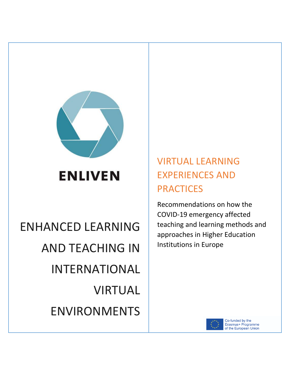

# **ENLIVEN**

# ENHANCED LEARNING AND TEACHING IN INTERNATIONAL VIRTUAL ENVIRONMENTS

## VIRTUAL LEARNING EXPERIENCES AND **PRACTICES**

Recommendations on how the COVID-19 emergency affected teaching and learning methods and approaches in Higher Education Institutions in Europe



Co-funded by the Erasmus+ Programme of the European Union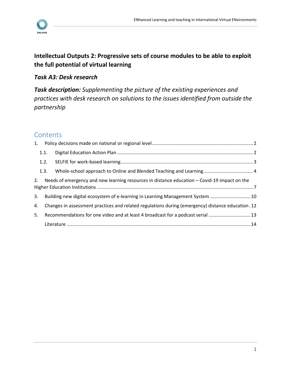

## **Intellectual Outputs 2: Progressive sets of course modules to be able to exploit the full potential of virtual learning**

### *Task A3: Desk research*

*Task description: Supplementing the picture of the existing experiences and practices with desk research on solutions to the issues identified from outside the partnership*

## **Contents**

|                                                                                                    | 1.1.                                                                                               |  |  |  |
|----------------------------------------------------------------------------------------------------|----------------------------------------------------------------------------------------------------|--|--|--|
|                                                                                                    | 1.2.                                                                                               |  |  |  |
|                                                                                                    | 1.3.                                                                                               |  |  |  |
| Needs of emergency and new learning resources in distance education – Covid-19 impact on the<br>2. |                                                                                                    |  |  |  |
| 3.                                                                                                 | Building new digital ecosystem of e-learning in Learning Management System  10                     |  |  |  |
| 4.                                                                                                 | Changes in assessment practices and related regulations during (emergency) distance education . 12 |  |  |  |
| 5.                                                                                                 | Recommendations for one video and at least 4 broadcast for a podcast serial  13                    |  |  |  |
|                                                                                                    |                                                                                                    |  |  |  |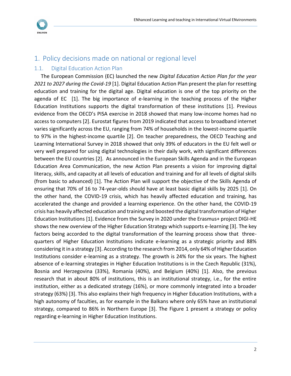

## <span id="page-2-0"></span>1. Policy decisions made on national or regional level

#### <span id="page-2-1"></span>1.1. Digital Education Action Plan

The European Commission (EC) launched the new *Digital Education Action Plan for the year 2021 to 2027 during the Covid-19* [1]. Digital Education Action Plan present the plan for resetting education and training for the digital age. Digital education is one of the top priority on the agenda of EC [1]. The big importance of e-learning in the teaching process of the Higher Education Institutions supports the digital transformation of these institutions [1]. Previous evidence from the OECD's PISA exercise in 2018 showed that many low-income homes had no access to computers [2]. Eurostat figures from 2019 indicated that access to broadband internet varies significantly across the EU, ranging from 74% of households in the lowest-income quartile to 97% in the highest-income quartile [2]. On teacher preparedness, the OECD Teaching and Learning International Survey in 2018 showed that only 39% of educators in the EU felt well or very well prepared for using digital technologies in their daily work, with significant differences between the EU countries [2]. As announced in the European Skills Agenda and in the European Education Area Communication, the new Action Plan presents a vision for improving digital literacy, skills, and capacity at all levels of education and training and for all levels of digital skills (from basic to advanced) [1]. The Action Plan will support the objective of the Skills Agenda of ensuring that 70% of 16 to 74-year-olds should have at least basic digital skills by 2025 [1]. On the other hand, the COVID-19 crisis, which has heavily affected education and training, has accelerated the change and provided a learning experience. On the other hand, the COVID-19 crisis has heavily affected education and training and boosted the digital transformation of Higher Education Institutions [1]. Evidence from the Survey in 2020 under the Erasmus+ project DIGI-HE shows the new overview of the Higher Education Strategy which supports e-learning [3]. The key factors being accorded to the digital transformation of the learning process show that threequarters of Higher Education Institutions indicate e-learning as a strategic priority and 88% considering it in a strategy [3]. According to the research from 2014, only 64% of Higher Education Institutions consider e-learning as a strategy. The growth is 24% for the six years. The highest absence of e-learning strategies in Higher Education Institutions is in the Czech Republic (31%), Bosnia and Herzegovina (33%), Romania (40%), and Belgium (40%) [1]. Also, the previous research that in about 80% of institutions, this is an institutional strategy, i.e., for the entire institution, either as a dedicated strategy (16%), or more commonly integrated into a broader strategy (63%) [3]. This also explains their high frequency in Higher Education Institutions, with a high autonomy of faculties, as for example in the Balkans where only 65% have an institutional strategy, compared to 86% in Northern Europe [3]. The Figure 1 present a strategy or policy regarding e-learning in Higher Education Institutions.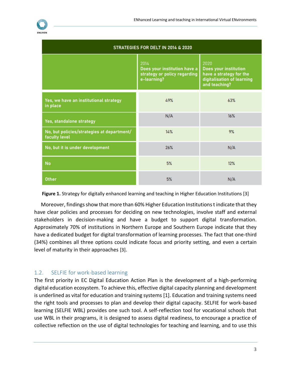

| STRATEGIES FOR DELT IN 2014 & 2020                          |                                                                                     |                                                                                                         |  |
|-------------------------------------------------------------|-------------------------------------------------------------------------------------|---------------------------------------------------------------------------------------------------------|--|
|                                                             | 2014<br>Does your institution have a<br>strategy or policy regarding<br>e-learning? | 2020<br>Does your institution<br>have a strategy for the<br>digitalisation of learning<br>and teaching? |  |
| Yes, we have an institutional strategy<br>in place          | 49%                                                                                 | 63%                                                                                                     |  |
| Yes, standalone strategy                                    | N/A                                                                                 | 16%                                                                                                     |  |
| No, but policies/strategies at department/<br>faculty level | 14%                                                                                 | 9%                                                                                                      |  |
| No, but it is under development                             | 26%                                                                                 | N/A                                                                                                     |  |
| <b>No</b>                                                   | 5%                                                                                  | 12%                                                                                                     |  |
| <b>Other</b>                                                | 5%                                                                                  | N/A                                                                                                     |  |

**Figure 1.** Strategy for digitally enhanced learning and teaching in Higher Education Institutions [3]

Moreover, findings show that more than 60% Higher Education Institutions t indicate that they have clear policies and processes for deciding on new technologies, involve staff and external stakeholders in decision-making and have a budget to support digital transformation. Approximately 70% of institutions in Northern Europe and Southern Europe indicate that they have a dedicated budget for digital transformation of learning processes. The fact that one-third (34%) combines all three options could indicate focus and priority setting, and even a certain level of maturity in their approaches [3].

#### <span id="page-3-0"></span>1.2. SELFIE for work-based learning

The first priority in EC Digital Education Action Plan is the development of a high-performing digital education ecosystem. To achieve this, effective digital capacity planning and development is underlined as vital for education and training systems [1]. Education and training systems need the right tools and processes to plan and develop their digital capacity. SELFIE for work-based learning (SELFIE WBL) provides one such tool. A self-reflection tool for vocational schools that use WBL in their programs, it is designed to assess digital readiness, to encourage a practice of collective reflection on the use of digital technologies for teaching and learning, and to use this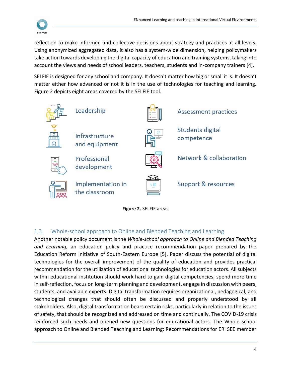

reflection to make informed and collective decisions about strategy and practices at all levels. Using anonymized aggregated data, it also has a system-wide dimension, helping policymakers take action towards developing the digital capacity of education and training systems, taking into account the views and needs of school leaders, teachers, students and in-company trainers [4].

SELFIE is designed for any school and company. It doesn't matter how big or small it is. It doesn't matter either how advanced or not it is in the use of technologies for teaching and learning. Figure 2 depicts eight areas covered by the SELFIE tool.





#### <span id="page-4-0"></span>1.3. Whole-school approach to Online and Blended Teaching and Learning

Another notable policy document is the *Whole-school approach to Online and Blended Teaching and Learning*, an education policy and practice recommendation paper prepared by the Education Reform Initiative of South-Eastern Europe [5]. Paper discuss the potential of digital technologies for the overall improvement of the quality of education and provides practical recommendation for the utilization of educational technologies for education actors. All subjects within educational institution should work hard to gain digital competencies, spend more time in self-reflection, focus on long-term planning and development, engage in discussion with peers, students, and available experts. Digital transformation requires organizational, pedagogical, and technological changes that should often be discussed and properly understood by all stakeholders. Also, digital transformation bears certain risks, particularly in relation to the issues of safety, that should be recognized and addressed on time and continually. The COVID-19 crisis reinforced such needs and opened new questions for educational actors. The Whole school approach to Online and Blended Teaching and Learning: Recommendations for ERI SEE member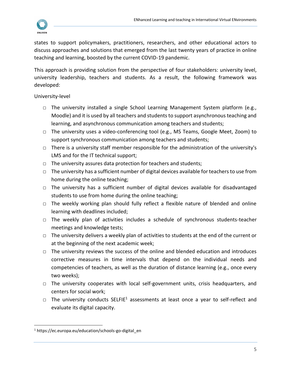

states to support policymakers, practitioners, researchers, and other educational actors to discuss approaches and solutions that emerged from the last twenty years of practice in online teaching and learning, boosted by the current COVID-19 pandemic.

This approach is providing solution from the perspective of four stakeholders: university level, university leadership, teachers and students. As a result, the following framework was developed:

University-level

- □ The university installed a single School Learning Management System platform (e.g., Moodle) and it is used by all teachers and students to support asynchronous teaching and learning, and asynchronous communication among teachers and students;
- □ The university uses a video-conferencing tool (e.g., MS Teams, Google Meet, Zoom) to support synchronous communication among teachers and students;
- $\Box$  There is a university staff member responsible for the administration of the university's LMS and for the IT technical support;
- □ The university assures data protection for teachers and students;
- $\Box$  The university has a sufficient number of digital devices available for teachers to use from home during the online teaching;
- □ The university has a sufficient number of digital devices available for disadvantaged students to use from home during the online teaching;
- □ The weekly working plan should fully reflect a flexible nature of blended and online learning with deadlines included;
- □ The weekly plan of activities includes a schedule of synchronous students-teacher meetings and knowledge tests;
- $\Box$  The university delivers a weekly plan of activities to students at the end of the current or at the beginning of the next academic week;
- $\Box$  The university reviews the success of the online and blended education and introduces corrective measures in time intervals that depend on the individual needs and competencies of teachers, as well as the duration of distance learning (e.g., once every two weeks);
- $\Box$  The university cooperates with local self-government units, crisis headquarters, and centers for social work;
- $\Box$  The university conducts SELFIE<sup>1</sup> assessments at least once a year to self-reflect and evaluate its digital capacity.

<sup>&</sup>lt;sup>1</sup> https://ec.europa.eu/education/schools-go-digital en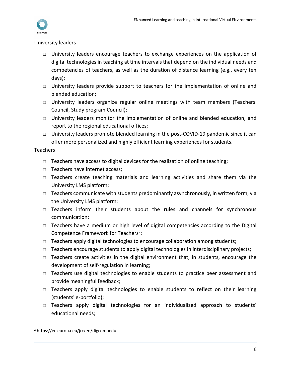

#### University leaders

- □ University leaders encourage teachers to exchange experiences on the application of digital technologies in teaching at time intervals that depend on the individual needs and competencies of teachers, as well as the duration of distance learning (e.g., every ten days);
- □ University leaders provide support to teachers for the implementation of online and blended education;
- □ University leaders organize regular online meetings with team members (Teachers' Council, Study program Council);
- □ University leaders monitor the implementation of online and blended education, and report to the regional educational offices;
- □ University leaders promote blended learning in the post-COVID-19 pandemic since it can offer more personalized and highly efficient learning experiences for students.

#### Teachers

- $\Box$  Teachers have access to digital devices for the realization of online teaching;
- □ Teachers have internet access;
- □ Teachers create teaching materials and learning activities and share them via the University LMS platform;
- □ Teachers communicate with students predominantly asynchronously, in written form, via the University LMS platform;
- □ Teachers inform their students about the rules and channels for synchronous communication;
- $\Box$  Teachers have a medium or high level of digital competencies according to the Digital Competence Framework for Teachers<sup>2</sup>;
- $\Box$  Teachers apply digital technologies to encourage collaboration among students;
- □ Teachers encourage students to apply digital technologies in interdisciplinary projects;
- □ Teachers create activities in the digital environment that, in students, encourage the development of self-regulation in learning;
- □ Teachers use digital technologies to enable students to practice peer assessment and provide meaningful feedback;
- □ Teachers apply digital technologies to enable students to reflect on their learning (students' e-portfolio);
- □ Teachers apply digital technologies for an individualized approach to students' educational needs;

<sup>2</sup> https://ec.europa.eu/jrc/en/digcompedu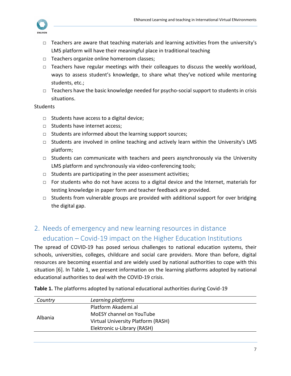

- □ Teachers are aware that teaching materials and learning activities from the university's LMS platform will have their meaningful place in traditional teaching
- □ Teachers organize online homeroom classes;
- $\Box$  Teachers have regular meetings with their colleagues to discuss the weekly workload, ways to assess student's knowledge, to share what they've noticed while mentoring students, etc.;
- $\Box$  Teachers have the basic knowledge needed for psycho-social support to students in crisis situations.

#### **Students**

- $\Box$  Students have access to a digital device;
- □ Students have internet access;
- □ Students are informed about the learning support sources;
- $\Box$  Students are involved in online teaching and actively learn within the University's LMS platform;
- □ Students can communicate with teachers and peers asynchronously via the University LMS platform and synchronously via video-conferencing tools;
- $\Box$  Students are participating in the peer assessment activities;
- □ For students who do not have access to a digital device and the Internet, materials for testing knowledge in paper form and teacher feedback are provided.
- □ Students from vulnerable groups are provided with additional support for over bridging the digital gap.

## <span id="page-7-0"></span>2. Needs of emergency and new learning resources in distance education – Covid-19 impact on the Higher Education Institutions

The spread of COVID-19 has posed serious challenges to national education systems, their schools, universities, colleges, childcare and social care providers. More than before, digital resources are becoming essential and are widely used by national authorities to cope with this situation [6]. In Table 1, we present information on the learning platforms adopted by national educational authorities to deal with the COVID-19 crisis.

| Country | Learning platforms                 |  |
|---------|------------------------------------|--|
|         | Platform Akademi.al                |  |
|         | MoESY channel on YouTube           |  |
| Albania | Virtual University Platform (RASH) |  |
|         | Elektronic u-Library (RASH)        |  |
|         |                                    |  |

**Table 1.** The platforms adopted by national educational authorities during Covid-19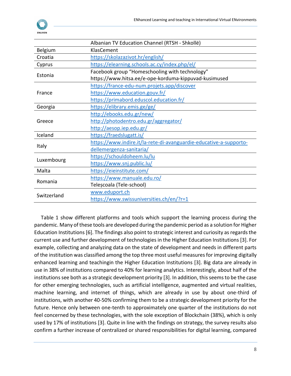|             | Albanian TV Education Channel (RTSH - Shkollë)                     |  |  |
|-------------|--------------------------------------------------------------------|--|--|
| Belgium     | KlasCement                                                         |  |  |
| Croatia     | https://skolazazivot.hr/english/                                   |  |  |
| Cyprus      | https://elearning.schools.ac.cy/index.php/el/                      |  |  |
| Estonia     | Facebook group "Homeschooling with technology"                     |  |  |
|             | https://www.hitsa.ee/e-ope-korduma-kippuvad-kusimused              |  |  |
|             | https://france-edu-num.projets.app/discover                        |  |  |
| France      | https://www.education.gouv.fr/                                     |  |  |
|             | https://primabord.eduscol.education.fr/                            |  |  |
| Georgia     | https://elibrary.emis.ge/ge/                                       |  |  |
|             | http://ebooks.edu.gr/new/                                          |  |  |
| Greece      | http://photodentro.edu.gr/aggregator/                              |  |  |
|             | http://aesop.iep.edu.gr/                                           |  |  |
| Iceland     | https://fraedslugatt.is/                                           |  |  |
| Italy       | https://www.indire.it/la-rete-di-avanguardie-educative-a-supporto- |  |  |
|             | dellemergenza-sanitaria/                                           |  |  |
| Luxembourg  | https://schouldoheem.lu/lu                                         |  |  |
|             | https://www.snj.public.lu/                                         |  |  |
| Malta       | https://eieinstitute.com/                                          |  |  |
| Romania     | https://www.manuale.edu.ro/                                        |  |  |
|             | Teleșcoala (Tele-school)                                           |  |  |
| Switzerland | www.eduport.ch                                                     |  |  |
|             | https://www.swissuniversities.ch/en/?r=1                           |  |  |

Table 1 show different platforms and tools which support the learning process during the pandemic. Many of these tools are developed during the pandemic period as a solution for Higher Education Institutions [6]. The findings also point to strategic interest and curiosity as regards the current use and further development of technologies in the Higher Education Institutions [3]. For example, collecting and analyzing data on the state of development and needs in different parts of the institution was classified among the top three most useful measures for improving digitally enhanced learning and teachingin the Higher Education Institutions [3]. Big data are already in use in 38% of institutions compared to 40% for learning analytics. Interestingly, about half of the institutions see both as a strategic development priority [3]. In addition, this seems to be the case for other emerging technologies, such as artificial intelligence, augmented and virtual realities, machine learning, and internet of things, which are already in use by about one-third of institutions, with another 40-50% confirming them to be a strategic development priority for the future. Hence only between one-tenth to approximately one quarter of the institutions do not feel concerned by these technologies, with the sole exception of Blockchain (38%), which is only used by 17% of institutions [3]. Quite in line with the findings on strategy, the survey results also confirm a further increase of centralized or shared responsibilities for digital learning, compared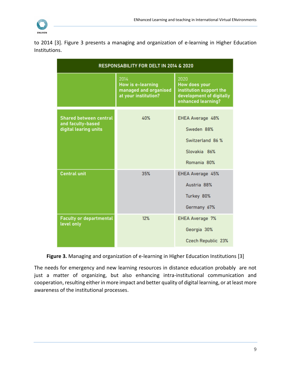

to 2014 [3]. Figure 3 presents a managing and organization of e-learning in Higher Education Institutions.

| <b>RESPONSABILITY FOR DELT IN 2014 &amp; 2020</b>                           |                                                                                   |                                                                                                    |  |
|-----------------------------------------------------------------------------|-----------------------------------------------------------------------------------|----------------------------------------------------------------------------------------------------|--|
|                                                                             | 2014<br><b>How is e-learning</b><br>managed and organised<br>at your institution? | 2020<br>How does your<br>institution support the<br>development of digitally<br>enhanced learning? |  |
| <b>Shared between central</b><br>and faculty-based<br>digital learing units | 40%                                                                               | EHEA Average 48%<br>Sweden 88%<br>Switzerland 86 %<br>Slovakia 86%<br>Romania 80%                  |  |
| <b>Central unit</b>                                                         | 35%                                                                               | EHEA Average 45%<br>Austria 88%<br>Turkey 80%<br>Germany 67%                                       |  |
| <b>Faculty or departmental</b><br>level only                                | 12%                                                                               | <b>EHEA Average 7%</b><br>Georgia 30%<br>Czech Republic 23%                                        |  |

**Figure 3.** Managing and organization of e-learning in Higher Education Institutions [3]

The needs for emergency and new learning resources in distance education probably are not just a matter of organizing, but also enhancing intra-institutional communication and cooperation, resulting either in more impact and better quality of digital learning, or at least more awareness of the institutional processes.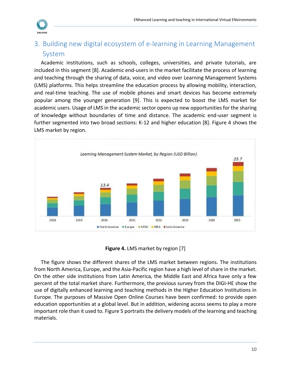

## <span id="page-10-0"></span>3. Building new digital ecosystem of e-learning in Learning Management System

Academic institutions, such as schools, colleges, universities, and private tutorials, are included in this segment [8]. Academic end-users in the market facilitate the process of learning and teaching through the sharing of data, voice, and video over Learning Management Systems (LMS) platforms. This helps streamline the education process by allowing mobility, interaction, and real-time teaching. The use of mobile phones and smart devices has become extremely popular among the younger generation [9]. This is expected to boost the LMS market for academic users. Usage of LMS in the academic sector opens up new opportunities for the sharing of knowledge without boundaries of time and distance. The academic end-user segment is further segmented into two broad sections: K-12 and higher education [8]. Figure 4 shows the LMS market by region.



| Figure 4. LMS market by region [7] |  |  |  |  |  |
|------------------------------------|--|--|--|--|--|
|------------------------------------|--|--|--|--|--|

The figure shows the different shares of the LMS market between regions. The institutions from North America, Europe, and the Asia-Pacific region have a high level of share in the market. On the other side institutions from Latin America, the Middle East and Africa have only a few percent of the total market share. Furthermore, the previous survey from the DIGI-HE show the use of digitally enhanced learning and teaching methods in the Higher Education Institutions in Europe. The purposes of Massive Open Online Courses have been confirmed: to provide open education opportunities at a global level. But in addition, widening access seems to play a more important role than it used to. Figure 5 portraits the delivery models of the learning and teaching materials.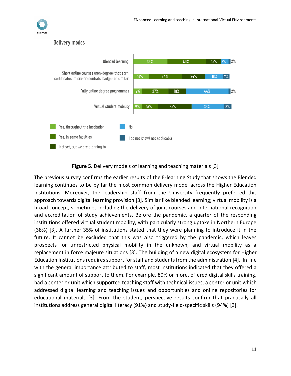

#### Delivery modes



#### **Figure 5.** Delivery models of learning and teaching materials [3]

The previous survey confirms the earlier results of the E-learning Study that shows the Blended learning continues to be by far the most common delivery model across the Higher Education Institutions. Moreover, the leadership staff from the University frequently preferred this approach towards digital learning provision [3]. Similar like blended learning; virtual mobility is a broad concept, sometimes including the delivery of joint courses and international recognition and accreditation of study achievements. Before the pandemic, a quarter of the responding institutions offered virtual student mobility, with particularly strong uptake in Northern Europe (38%) [3]. A further 35% of institutions stated that they were planning to introduce it in the future. It cannot be excluded that this was also triggered by the pandemic, which leaves prospects for unrestricted physical mobility in the unknown, and virtual mobility as a replacement in force majeure situations [3]. The building of a new digital ecosystem for Higher Education Institutions requires support for staff and students from the administration [4]. In line with the general importance attributed to staff, most institutions indicated that they offered a significant amount of support to them. For example, 80% or more, offered digital skills training, had a center or unit which supported teaching staff with technical issues, a center or unit which addressed digital learning and teaching issues and opportunities and online repositories for educational materials [3]. From the student, perspective results confirm that practically all institutions address general digital literacy (91%) and study-field-specific skills (94%) [3].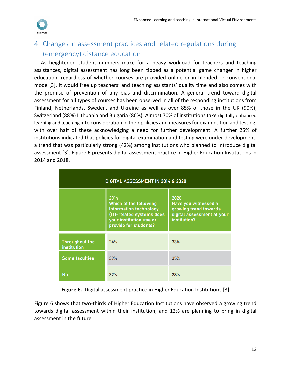

## <span id="page-12-0"></span>4. Changes in assessment practices and related regulations during (emergency) distance education

As heightened student numbers make for a heavy workload for teachers and teaching assistances, digital assessment has long been tipped as a potential game changer in higher education, regardless of whether courses are provided online or in blended or conventional mode [3]. It would free up teachers' and teaching assistants' quality time and also comes with the promise of prevention of any bias and discrimination. A general trend toward digital assessment for all types of courses has been observed in all of the responding institutions from Finland, Netherlands, Sweden, and Ukraine as well as over 85% of those in the UK (90%), Switzerland (88%) Lithuania and Bulgaria (86%). Almost 70% of institutions take digitally enhanced learning and teaching into consideration in their policies and measures for examination and testing, with over half of these acknowledging a need for further development. A further 25% of institutions indicated that policies for digital examination and testing were under development, a trend that was particularly strong (42%) among institutions who planned to introduce digital assessment [3]. Figure 6 presents digital assessment practice in Higher Education Institutions in 2014 and 2018.

| DIGITAL ASSESSMENT IN 2014 & 2020    |                                                                                                                                           |                                                                                                     |  |
|--------------------------------------|-------------------------------------------------------------------------------------------------------------------------------------------|-----------------------------------------------------------------------------------------------------|--|
|                                      | 2014<br>Which of the following<br>information technology<br>(IT)-related systems does<br>your institution use or<br>provide for students? | 2020<br>Have you witnessed a<br>growing trend towards<br>digital assessment at your<br>institution? |  |
| <b>Throughout the</b><br>institution | 24%                                                                                                                                       | 33%                                                                                                 |  |
| <b>Some faculties</b>                | 39%                                                                                                                                       | 35%                                                                                                 |  |
| No                                   | 32%                                                                                                                                       | 28%                                                                                                 |  |

**Figure 6.** Digital assessment practice in Higher Education Institutions [3]

Figure 6 shows that two-thirds of Higher Education Institutions have observed a growing trend towards digital assessment within their institution, and 12% are planning to bring in digital assessment in the future.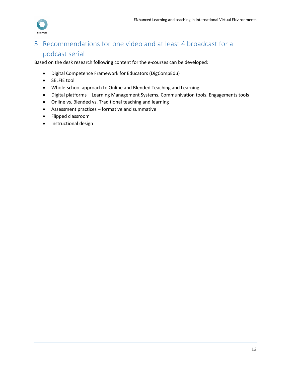

## <span id="page-13-0"></span>5. Recommendations for one video and at least 4 broadcast for a podcast serial

Based on the desk research following content for the e-courses can be developed:

- Digital Competence Framework for Educators (DigCompEdu)
- SELFIE tool
- Whole-school approach to Online and Blended Teaching and Learning
- Digital platforms Learning Management Systems, Communivation tools, Engagements tools
- Online vs. Blended vs. Traditional teaching and learning
- Assessment practices formative and summative
- Flipped classroom
- Instructional design